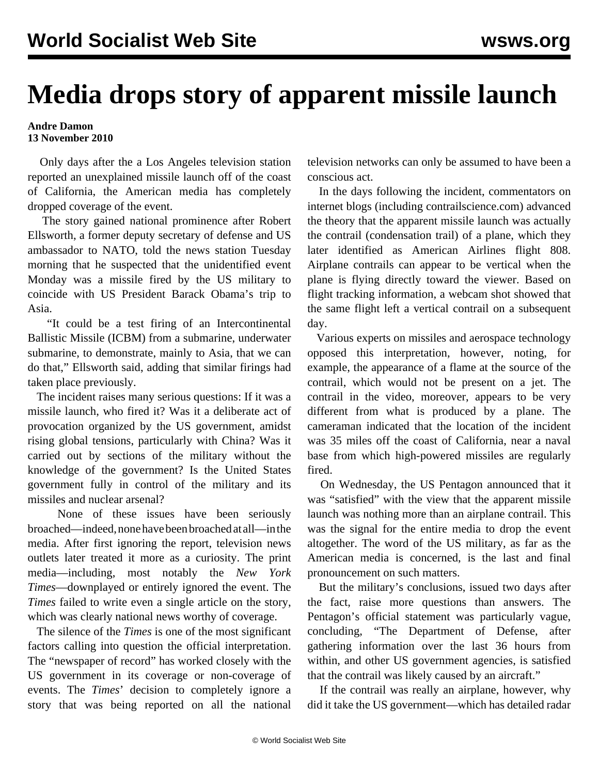## **Media drops story of apparent missile launch**

## **Andre Damon 13 November 2010**

 Only days after the a Los Angeles television station reported an unexplained missile launch off of the coast of California, the American media has completely dropped coverage of the event.

 The story gained national prominence after Robert Ellsworth, a former deputy secretary of defense and US ambassador to NATO, told the news station Tuesday morning that he suspected that the unidentified event Monday was a missile fired by the US military to coincide with US President Barack Obama's trip to Asia.

 "It could be a test firing of an Intercontinental Ballistic Missile (ICBM) from a submarine, underwater submarine, to demonstrate, mainly to Asia, that we can do that," Ellsworth said, adding that similar firings had taken place previously.

 The incident raises many serious questions: If it was a missile launch, who fired it? Was it a deliberate act of provocation organized by the US government, amidst rising global tensions, particularly with China? Was it carried out by sections of the military without the knowledge of the government? Is the United States government fully in control of the military and its missiles and nuclear arsenal?

 None of these issues have been seriously broached—indeed, none have been broached at all—in the media. After first ignoring the report, television news outlets later treated it more as a curiosity. The print media—including, most notably the *New York Times*—downplayed or entirely ignored the event. The *Times* failed to write even a single article on the story, which was clearly national news worthy of coverage.

 The silence of the *Times* is one of the most significant factors calling into question the official interpretation. The "newspaper of record" has worked closely with the US government in its coverage or non-coverage of events. The *Times*' decision to completely ignore a story that was being reported on all the national

television networks can only be assumed to have been a conscious act.

 In the days following the incident, commentators on internet blogs (including [contrailscience.com](http://contrailscience.com/)) advanced the theory that the apparent missile launch was actually the contrail (condensation trail) of a plane, which they later identified as American Airlines flight 808. Airplane contrails can appear to be vertical when the plane is flying directly toward the viewer. Based on flight tracking information, a webcam shot showed that the same flight left a vertical contrail on a subsequent day.

 Various experts on missiles and aerospace technology opposed this interpretation, however, noting, for example, the appearance of a flame at the source of the contrail, which would not be present on a jet. The contrail in the video, moreover, appears to be very different from what is produced by a plane. The cameraman indicated that the location of the incident was 35 miles off the coast of California, near a naval base from which high-powered missiles are regularly fired.

 On Wednesday, the US Pentagon announced that it was "satisfied" with the view that the apparent missile launch was nothing more than an airplane contrail. This was the signal for the entire media to drop the event altogether. The word of the US military, as far as the American media is concerned, is the last and final pronouncement on such matters.

 But the military's conclusions, issued two days after the fact, raise more questions than answers. The Pentagon's official statement was particularly vague, concluding, "The Department of Defense, after gathering information over the last 36 hours from within, and other US government agencies, is satisfied that the contrail was likely caused by an aircraft."

 If the contrail was really an airplane, however, why did it take the US government—which has detailed radar